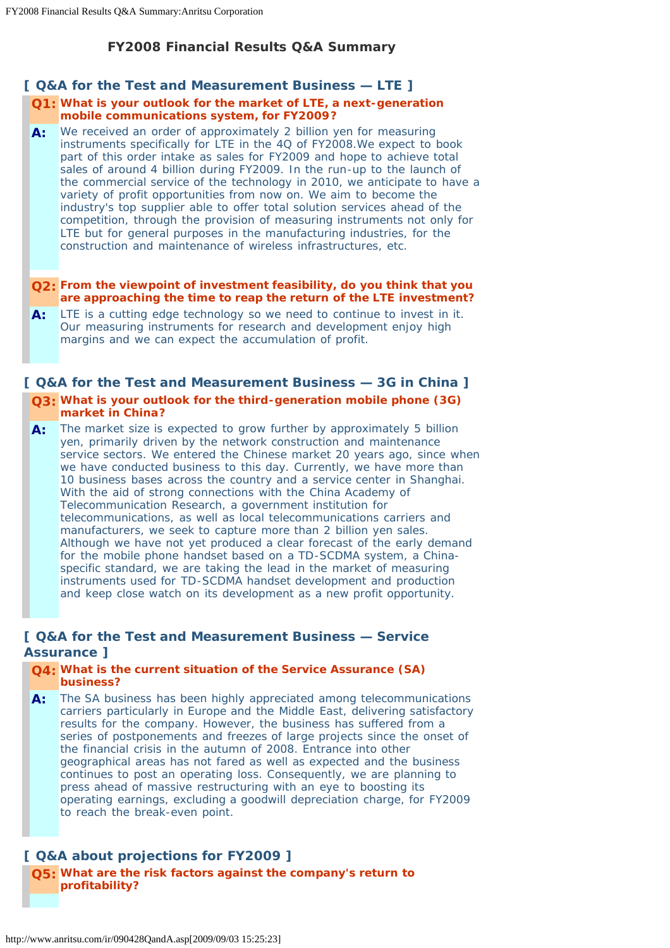# **FY2008 Financial Results Q&A Summary**

## **[ Q&A for the Test and Measurement Business — LTE ]**

### **Q1: What is your outlook for the market of LTE, a next-generation mobile communications system, for FY2009?**

**A:** We received an order of approximately 2 billion yen for measuring instruments specifically for LTE in the 4Q of FY2008.We expect to book part of this order intake as sales for FY2009 and hope to achieve total sales of around 4 billion during FY2009. In the run-up to the launch of the commercial service of the technology in 2010, we anticipate to have a variety of profit opportunities from now on. We aim to become the industry's top supplier able to offer total solution services ahead of the competition, through the provision of measuring instruments not only for LTE but for general purposes in the manufacturing industries, for the construction and maintenance of wireless infrastructures, etc.

### **Q2: From the viewpoint of investment feasibility, do you think that you are approaching the time to reap the return of the LTE investment?**

**A:** LTE is a cutting edge technology so we need to continue to invest in it. Our measuring instruments for research and development enjoy high margins and we can expect the accumulation of profit.

## **[ Q&A for the Test and Measurement Business — 3G in China ] Q3: What is your outlook for the third-generation mobile phone (3G) market in China?**

**A:** The market size is expected to grow further by approximately 5 billion yen, primarily driven by the network construction and maintenance service sectors. We entered the Chinese market 20 years ago, since when we have conducted business to this day. Currently, we have more than 10 business bases across the country and a service center in Shanghai. With the aid of strong connections with the China Academy of Telecommunication Research, a government institution for telecommunications, as well as local telecommunications carriers and manufacturers, we seek to capture more than 2 billion yen sales. Although we have not yet produced a clear forecast of the early demand for the mobile phone handset based on a TD-SCDMA system, a Chinaspecific standard, we are taking the lead in the market of measuring instruments used for TD-SCDMA handset development and production and keep close watch on its development as a new profit opportunity.

# **[ Q&A for the Test and Measurement Business — Service Assurance ]**

### **Q4: What is the current situation of the Service Assurance (SA) business?**

**A:** The SA business has been highly appreciated among telecommunications carriers particularly in Europe and the Middle East, delivering satisfactory results for the company. However, the business has suffered from a series of postponements and freezes of large projects since the onset of the financial crisis in the autumn of 2008. Entrance into other geographical areas has not fared as well as expected and the business continues to post an operating loss. Consequently, we are planning to press ahead of massive restructuring with an eye to boosting its operating earnings, excluding a goodwill depreciation charge, for FY2009 to reach the break-even point.

# **[ Q&A about projections for FY2009 ]**

**Q5: What are the risk factors against the company's return to profitability?**